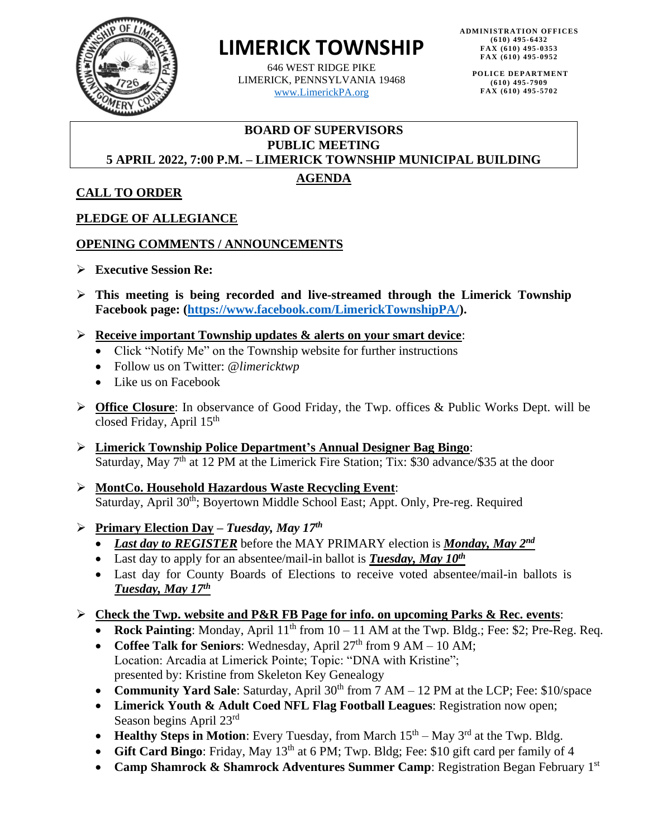

# **LIMERICK TOWNSHIP**

646 WEST RIDGE PIKE LIMERICK, PENNSYLVANIA 19468 [www.LimerickPA.org](http://www.limerickpa.org/)

**POLICE DE PARTMENT (610) 495-7909 FAX (610) 495-5702**

#### **BOARD OF SUPERVISORS PUBLIC MEETING 5 APRIL 2022, 7:00 P.M. – LIMERICK TOWNSHIP MUNICIPAL BUILDING**

# **AGENDA**

**CALL TO ORDER**

# **PLEDGE OF ALLEGIANCE**

# **OPENING COMMENTS / ANNOUNCEMENTS**

- ➢ **Executive Session Re:**
- ➢ **This meeting is being recorded and live-streamed through the Limerick Township Facebook page: [\(https://www.facebook.com/LimerickTownshipPA/\)](https://www.facebook.com/LimerickTownshipPA/).**
- ➢ **Receive important Township updates & alerts on your smart device**:
	- Click "Notify Me" on the Township website for further instructions
	- Follow us on Twitter: @*limericktwp*
	- Like us on Facebook
- ➢ **Office Closure**: In observance of Good Friday, the Twp. offices & Public Works Dept. will be closed Friday, April 15<sup>th</sup>
- ➢ **Limerick Township Police Department's Annual Designer Bag Bingo**: Saturday, May  $7<sup>th</sup>$  at 12 PM at the Limerick Fire Station; Tix: \$30 advance/\$35 at the door
- ➢ **MontCo. Household Hazardous Waste Recycling Event**: Saturday, April 30<sup>th</sup>; Boyertown Middle School East; Appt. Only, Pre-reg. Required

# ➢ **Primary Election Day –** *Tuesday, May 17 th*

- *Last day to REGISTER* before the MAY PRIMARY election is *Monday, May 2<sup>nd</sup>*
- Last day to apply for an absentee/mail-in ballot is **Tuesday, May 10<sup>th</sup>**
- Last day for County Boards of Elections to receive voted absentee/mail-in ballots is *Tuesday, May 17 th*

# ➢ **Check the Twp. website and P&R FB Page for info. on upcoming Parks & Rec. events**:

- **Rock Painting**: Monday, April  $11<sup>th</sup>$  from  $10 11$  AM at the Twp. Bldg.; Fee: \$2; Pre-Reg. Req.
- Coffee Talk for Seniors: Wednesday, April 27<sup>th</sup> from 9 AM 10 AM; Location: Arcadia at Limerick Pointe; Topic: "DNA with Kristine"; presented by: Kristine from Skeleton Key Genealogy
- **Community Yard Sale**: Saturday, April 30<sup>th</sup> from 7 AM 12 PM at the LCP; Fee: \$10/space
- **Limerick Youth & Adult Coed NFL Flag Football Leagues**: Registration now open; Season begins April 23rd
- Healthy Steps in Motion: Every Tuesday, from March  $15<sup>th</sup> May 3<sup>rd</sup>$  at the Twp. Bldg.
- **Gift Card Bingo**: Friday, May 13<sup>th</sup> at 6 PM; Twp. Bldg; Fee: \$10 gift card per family of 4
- **Camp Shamrock & Shamrock Adventures Summer Camp**: Registration Began February 1st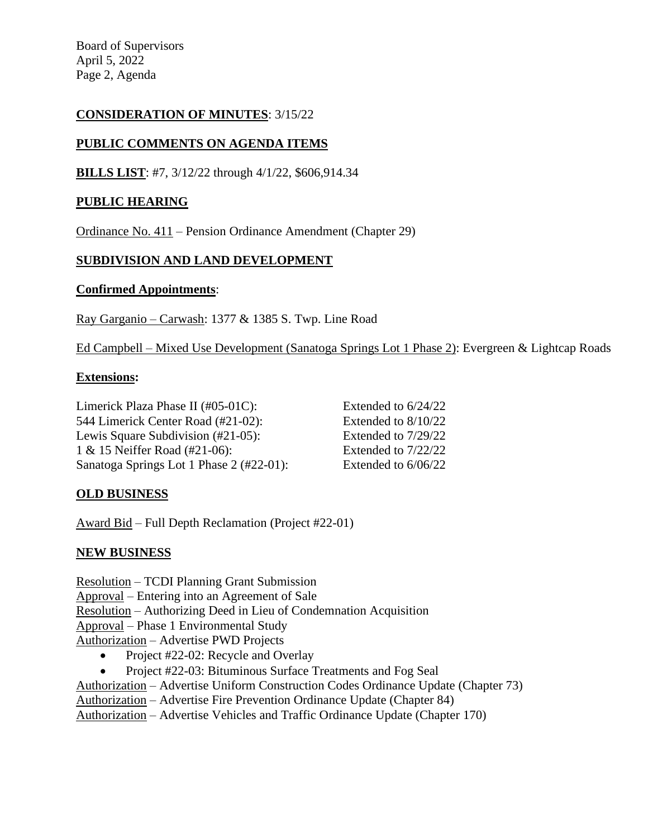Board of Supervisors April 5, 2022 Page 2, Agenda

## **CONSIDERATION OF MINUTES**: 3/15/22

## **PUBLIC COMMENTS ON AGENDA ITEMS**

**BILLS LIST**: #7, 3/12/22 through 4/1/22, \$606,914.34

### **PUBLIC HEARING**

Ordinance No. 411 – Pension Ordinance Amendment (Chapter 29)

#### **SUBDIVISION AND LAND DEVELOPMENT**

#### **Confirmed Appointments**:

Ray Garganio – Carwash: 1377 & 1385 S. Twp. Line Road

Ed Campbell – Mixed Use Development (Sanatoga Springs Lot 1 Phase 2): Evergreen & Lightcap Roads

#### **Extensions:**

Limerick Plaza Phase II (#05-01C): Extended to 6/24/22 544 Limerick Center Road (#21-02): Extended to 8/10/22 Lewis Square Subdivision (#21-05): Extended to 7/29/22 1 & 15 Neiffer Road (#21-06): Extended to 7/22/22 Sanatoga Springs Lot 1 Phase 2 (#22-01): Extended to 6/06/22

## **OLD BUSINESS**

Award Bid – Full Depth Reclamation (Project #22-01)

#### **NEW BUSINESS**

Resolution – TCDI Planning Grant Submission Approval – Entering into an Agreement of Sale Resolution – Authorizing Deed in Lieu of Condemnation Acquisition Approval – Phase 1 Environmental Study

Authorization – Advertise PWD Projects

- Project #22-02: Recycle and Overlay
- Project #22-03: Bituminous Surface Treatments and Fog Seal

Authorization – Advertise Uniform Construction Codes Ordinance Update (Chapter 73)

Authorization – Advertise Fire Prevention Ordinance Update (Chapter 84)

Authorization – Advertise Vehicles and Traffic Ordinance Update (Chapter 170)